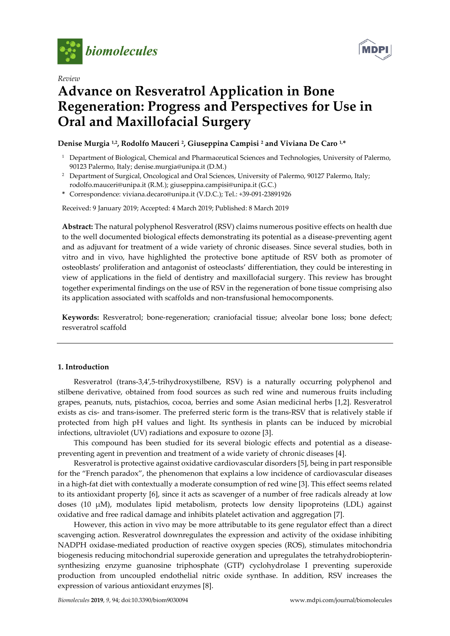

*Review*

# **Advance on Resveratrol Application in Bone Regeneration: Progress and Perspectives for Use in Oral and Maxillofacial Surgery**

# **Denise Murgia 1,2, Rodolfo Mauceri 2, Giuseppina Campisi <sup>2</sup> and Viviana De Caro 1,\***

- <sup>1</sup> Department of Biological, Chemical and Pharmaceutical Sciences and Technologies, University of Palermo, 90123 Palermo, Italy; denise.murgia@unipa.it (D.M.)
- <sup>2</sup> Department of Surgical, Oncological and Oral Sciences, University of Palermo, 90127 Palermo, Italy; rodolfo.mauceri@unipa.it (R.M.); giuseppina.campisi@unipa.it (G.C.)
- **\*** Correspondence: viviana.decaro@unipa.it (V.D.C.); Tel.: +39-091-23891926

Received: 9 January 2019; Accepted: 4 March 2019; Published: 8 March 2019

**Abstract:** The natural polyphenol Resveratrol (RSV) claims numerous positive effects on health due to the well documented biological effects demonstrating its potential as a disease-preventing agent and as adjuvant for treatment of a wide variety of chronic diseases. Since several studies, both in vitro and in vivo, have highlighted the protective bone aptitude of RSV both as promoter of osteoblasts' proliferation and antagonist of osteoclasts' differentiation, they could be interesting in view of applications in the field of dentistry and maxillofacial surgery. This review has brought together experimental findings on the use of RSV in the regeneration of bone tissue comprising also its application associated with scaffolds and non-transfusional hemocomponents.

**Keywords:** Resveratrol; bone-regeneration; craniofacial tissue; alveolar bone loss; bone defect; resveratrol scaffold

# **1. Introduction**

Resveratrol (trans-3,4′,5-trihydroxystilbene, RSV) is a naturally occurring polyphenol and stilbene derivative, obtained from food sources as such red wine and numerous fruits including grapes, peanuts, nuts, pistachios, cocoa, berries and some Asian medicinal herbs [1,2]. Resveratrol exists as cis- and trans-isomer. The preferred steric form is the trans-RSV that is relatively stable if protected from high pH values and light. Its synthesis in plants can be induced by microbial infections, ultraviolet (UV) radiations and exposure to ozone [3].

This compound has been studied for its several biologic effects and potential as a diseasepreventing agent in prevention and treatment of a wide variety of chronic diseases [4].

Resveratrol is protective against oxidative cardiovascular disorders [5], being in part responsible for the "French paradox", the phenomenon that explains a low incidence of cardiovascular diseases in a high-fat diet with contextually a moderate consumption of red wine [3]. This effect seems related to its antioxidant property [6], since it acts as scavenger of a number of free radicals already at low doses (10 μM), modulates lipid metabolism, protects low density lipoproteins (LDL) against oxidative and free radical damage and inhibits platelet activation and aggregation [7].

However, this action in vivo may be more attributable to its gene regulator effect than a direct scavenging action. Resveratrol downregulates the expression and activity of the oxidase inhibiting NADPH oxidase-mediated production of reactive oxygen species (ROS), stimulates mitochondria biogenesis reducing mitochondrial superoxide generation and upregulates the tetrahydrobiopterinsynthesizing enzyme guanosine triphosphate (GTP) cyclohydrolase I preventing superoxide production from uncoupled endothelial nitric oxide synthase. In addition, RSV increases the expression of various antioxidant enzymes [8].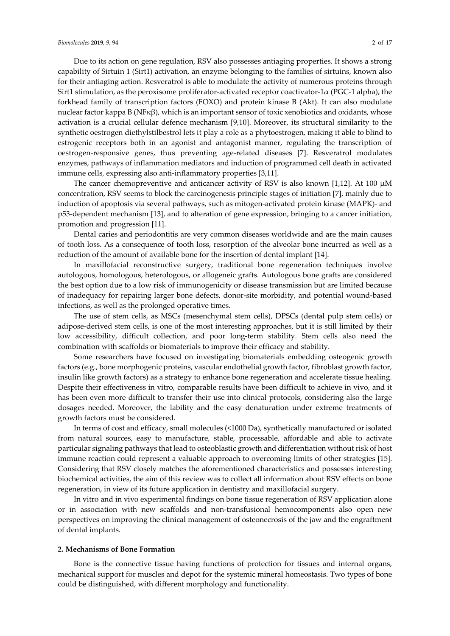Due to its action on gene regulation, RSV also possesses antiaging properties. It shows a strong capability of Sirtuin 1 (Sirt1) activation, an enzyme belonging to the families of sirtuins, known also for their antiaging action. Resveratrol is able to modulate the activity of numerous proteins through Sirt1 stimulation, as the peroxisome proliferator-activated receptor coactivator-1 $\alpha$  (PGC-1 alpha), the forkhead family of transcription factors (FOXO) and protein kinase B (Akt). It can also modulate nuclear factor kappa B (NFκβ), which is an important sensor of toxic xenobiotics and oxidants, whose activation is a crucial cellular defence mechanism [9,10]. Moreover, its structural similarity to the synthetic oestrogen diethylstilbestrol lets it play a role as a phytoestrogen, making it able to blind to estrogenic receptors both in an agonist and antagonist manner, regulating the transcription of oestrogen-responsive genes, thus preventing age-related diseases [7]. Resveratrol modulates enzymes, pathways of inflammation mediators and induction of programmed cell death in activated immune cells, expressing also anti-inflammatory properties [3,11].

The cancer chemopreventive and anticancer activity of RSV is also known [1,12]. At 100  $\mu$ M concentration, RSV seems to block the carcinogenesis principle stages of initiation [7], mainly due to induction of apoptosis via several pathways, such as mitogen-activated protein kinase (MAPK)- and p53-dependent mechanism [13], and to alteration of gene expression, bringing to a cancer initiation, promotion and progression [11].

Dental caries and periodontitis are very common diseases worldwide and are the main causes of tooth loss. As a consequence of tooth loss, resorption of the alveolar bone incurred as well as a reduction of the amount of available bone for the insertion of dental implant [14].

In maxillofacial reconstructive surgery, traditional bone regeneration techniques involve autologous, homologous, heterologous, or allogeneic grafts. Autologous bone grafts are considered the best option due to a low risk of immunogenicity or disease transmission but are limited because of inadequacy for repairing larger bone defects, donor-site morbidity, and potential wound-based infections, as well as the prolonged operative times.

The use of stem cells, as MSCs (mesenchymal stem cells), DPSCs (dental pulp stem cells) or adipose-derived stem cells, is one of the most interesting approaches, but it is still limited by their low accessibility, difficult collection, and poor long-term stability. Stem cells also need the combination with scaffolds or biomaterials to improve their efficacy and stability.

Some researchers have focused on investigating biomaterials embedding osteogenic growth factors (e.g., bone morphogenic proteins, vascular endothelial growth factor, fibroblast growth factor, insulin like growth factors) as a strategy to enhance bone regeneration and accelerate tissue healing. Despite their effectiveness in vitro, comparable results have been difficult to achieve in vivo*,* and it has been even more difficult to transfer their use into clinical protocols, considering also the large dosages needed. Moreover, the lability and the easy denaturation under extreme treatments of growth factors must be considered.

In terms of cost and efficacy, small molecules (<1000 Da), synthetically manufactured or isolated from natural sources, easy to manufacture, stable, processable, affordable and able to activate particular signaling pathways that lead to osteoblastic growth and differentiation without risk of host immune reaction could represent a valuable approach to overcoming limits of other strategies [15]. Considering that RSV closely matches the aforementioned characteristics and possesses interesting biochemical activities, the aim of this review was to collect all information about RSV effects on bone regeneration, in view of its future application in dentistry and maxillofacial surgery.

In vitro and in vivo experimental findings on bone tissue regeneration of RSV application alone or in association with new scaffolds and non-transfusional hemocomponents also open new perspectives on improving the clinical management of osteonecrosis of the jaw and the engraftment of dental implants.

# **2. Mechanisms of Bone Formation**

Bone is the connective tissue having functions of protection for tissues and internal organs, mechanical support for muscles and depot for the systemic mineral homeostasis. Two types of bone could be distinguished, with different morphology and functionality.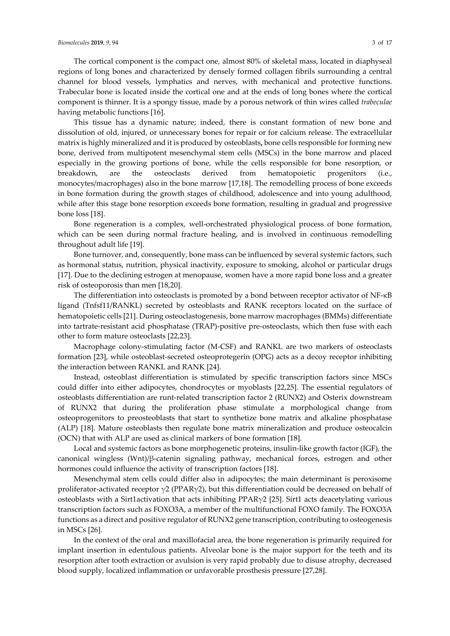The cortical component is the compact one, almost 80% of skeletal mass, located in diaphyseal regions of long bones and characterized by densely formed collagen fibrils surrounding a central channel for blood vessels, lymphatics and nerves, with mechanical and protective functions. Trabecular bone is located inside the cortical one and at the ends of long bones where the cortical component is thinner. It is a spongy tissue, made by a porous network of thin wires called *trabeculae* having metabolic functions [16].

This tissue has a dynamic nature; indeed, there is constant formation of new bone and dissolution of old, injured, or unnecessary bones for repair or for calcium release. The extracellular matrix is highly mineralized and it is produced by osteoblasts**,** bone cells responsible for forming new bone, derived from multipotent mesenchymal stem cells (MSCs) in the bone marrow and placed especially in the growing portions of bone, while the cells responsible for bone resorption, or breakdown, are the osteoclasts derived from hematopoietic progenitors (i.e., monocytes/macrophages) also in the bone marrow [17,18]. The remodelling process of bone exceeds in bone formation during the growth stages of childhood, adolescence and into young adulthood, while after this stage bone resorption exceeds bone formation, resulting in gradual and progressive bone loss [18].

Bone regeneration is a complex, well-orchestrated physiological process of bone formation, which can be seen during normal fracture healing, and is involved in continuous remodelling throughout adult life [19].

Bone turnover, and, consequently, bone mass can be influenced by several systemic factors, such as hormonal status, nutrition, physical inactivity, exposure to smoking, alcohol or particular drugs [17]. Due to the declining estrogen at menopause, women have a more rapid bone loss and a greater risk of osteoporosis than men [18,20].

The differentiation into osteoclasts is promoted by a bond between receptor activator of NF-κB ligand (Tnfsf11/RANKL) secreted by osteoblasts and RANK receptors located on the surface of hematopoietic cells [21]. During osteoclastogenesis, bone marrow macrophages (BMMs) differentiate into tartrate-resistant acid phosphatase (TRAP)-positive pre-osteoclasts, which then fuse with each other to form mature osteoclasts [22,23].

Macrophage colony-stimulating factor (M-CSF) and RANKL are two markers of osteoclasts formation [23], while osteoblast-secreted osteoprotegerin (OPG) acts as a decoy receptor inhibiting the interaction between RANKL and RANK [24].

Instead, osteoblast differentiation is stimulated by specific transcription factors since MSCs could differ into either adipocytes, chondrocytes or myoblasts [22,25]. The essential regulators of osteoblasts differentiation are runt-related transcription factor 2 (RUNX2) and Osterix downstream of RUNX2 that during the proliferation phase stimulate a morphological change from osteoprogenitors to preosteoblasts that start to synthetize bone matrix and alkaline phosphatase (ALP) [18]. Mature osteoblasts then regulate bone matrix mineralization and produce osteocalcin (OCN) that with ALP are used as clinical markers of bone formation [18].

Local and systemic factors as bone morphogenetic proteins, insulin-like growth factor (IGF), the canonical wingless (Wnt)/β-catenin signaling pathway, mechanical forces, estrogen and other hormones could influence the activity of transcription factors [18].

Mesenchymal stem cells could differ also in adipocytes; the main determinant is peroxisome proliferator-activated receptor  $\gamma$ 2 (PPAR $\gamma$ 2), but this differentiation could be decreased on behalf of osteoblasts with a Sirt1activation that acts inhibiting PPARγ2 [25]. Sirt1 acts deacetylating various transcription factors such as FOXO3A, a member of the multifunctional FOXO family. The FOXO3A functions as a direct and positive regulator of RUNX2 gene transcription, contributing to osteogenesis in MSCs [26].

In the context of the oral and maxillofacial area, the bone regeneration is primarily required for implant insertion in edentulous patients. Alveolar bone is the major support for the teeth and its resorption after tooth extraction or avulsion is very rapid probably due to disuse atrophy, decreased blood supply, localized inflammation or unfavorable prosthesis pressure [27,28].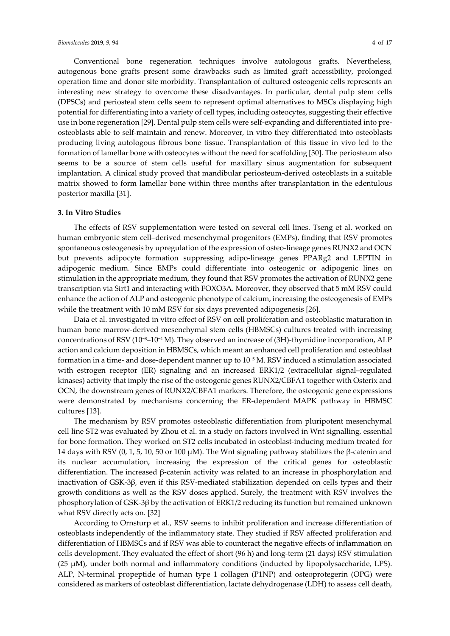Conventional bone regeneration techniques involve autologous grafts. Nevertheless, autogenous bone grafts present some drawbacks such as limited graft accessibility, prolonged operation time and donor site morbidity. Transplantation of cultured osteogenic cells represents an interesting new strategy to overcome these disadvantages. In particular, dental pulp stem cells (DPSCs) and periosteal stem cells seem to represent optimal alternatives to MSCs displaying high potential for differentiating into a variety of cell types, including osteocytes, suggesting their effective use in bone regeneration [29]. Dental pulp stem cells were self-expanding and differentiated into preosteoblasts able to self-maintain and renew. Moreover, in vitro they differentiated into osteoblasts producing living autologous fibrous bone tissue. Transplantation of this tissue in vivo led to the formation of lamellar bone with osteocytes without the need for scaffolding [30]. The periosteum also seems to be a source of stem cells useful for maxillary sinus augmentation for subsequent implantation. A clinical study proved that mandibular periosteum-derived osteoblasts in a suitable matrix showed to form lamellar bone within three months after transplantation in the edentulous posterior maxilla [31].

# **3. In Vitro Studies**

The effects of RSV supplementation were tested on several cell lines. Tseng et al. worked on human embryonic stem cell–derived mesenchymal progenitors (EMPs), finding that RSV promotes spontaneous osteogenesis by upregulation of the expression of osteo-lineage genes RUNX2 and OCN but prevents adipocyte formation suppressing adipo-lineage genes PPARg2 and LEPTIN in adipogenic medium. Since EMPs could differentiate into osteogenic or adipogenic lines on stimulation in the appropriate medium, they found that RSV promotes the activation of RUNX2 gene transcription via Sirt1 and interacting with FOXO3A. Moreover, they observed that 5 mM RSV could enhance the action of ALP and osteogenic phenotype of calcium, increasing the osteogenesis of EMPs while the treatment with 10 mM RSV for six days prevented adipogenesis [26].

Daia et al. investigated in vitro effect of RSV on cell proliferation and osteoblastic maturation in human bone marrow-derived mesenchymal stem cells (HBMSCs) cultures treated with increasing concentrations of RSV (10−8–10−4 M). They observed an increase of (3H)-thymidine incorporation, ALP action and calcium deposition in HBMSCs, which meant an enhanced cell proliferation and osteoblast formation in a time- and dose-dependent manner up to 10−5 M. RSV induced a stimulation associated with estrogen receptor (ER) signaling and an increased ERK1/2 (extracellular signal–regulated kinases) activity that imply the rise of the osteogenic genes RUNX2/CBFA1 together with Osterix and OCN, the downstream genes of RUNX2/CBFA1 markers. Therefore, the osteogenic gene expressions were demonstrated by mechanisms concerning the ER-dependent MAPK pathway in HBMSC cultures [13].

The mechanism by RSV promotes osteoblastic differentiation from pluripotent mesenchymal cell line ST2 was evaluated by Zhou et al. in a study on factors involved in Wnt signalling, essential for bone formation. They worked on ST2 cells incubated in osteoblast-inducing medium treated for 14 days with RSV (0, 1, 5, 10, 50 or 100 μM). The Wnt signaling pathway stabilizes the β-catenin and its nuclear accumulation, increasing the expression of the critical genes for osteoblastic differentiation. The increased β-catenin activity was related to an increase in phosphorylation and inactivation of GSK-3β, even if this RSV-mediated stabilization depended on cells types and their growth conditions as well as the RSV doses applied. Surely, the treatment with RSV involves the phosphorylation of GSK-3β by the activation of ERK1/2 reducing its function but remained unknown what RSV directly acts on. [32]

According to Ornsturp et al.*,* RSV seems to inhibit proliferation and increase differentiation of osteoblasts independently of the inflammatory state. They studied if RSV affected proliferation and differentiation of HBMSCs and if RSV was able to counteract the negative effects of inflammation on cells development. They evaluated the effect of short (96 h) and long-term (21 days) RSV stimulation (25 μM), under both normal and inflammatory conditions (inducted by lipopolysaccharide, LPS). ALP, N-terminal propeptide of human type 1 collagen (P1NP) and osteoprotegerin (OPG) were considered as markers of osteoblast differentiation, lactate dehydrogenase (LDH) to assess cell death,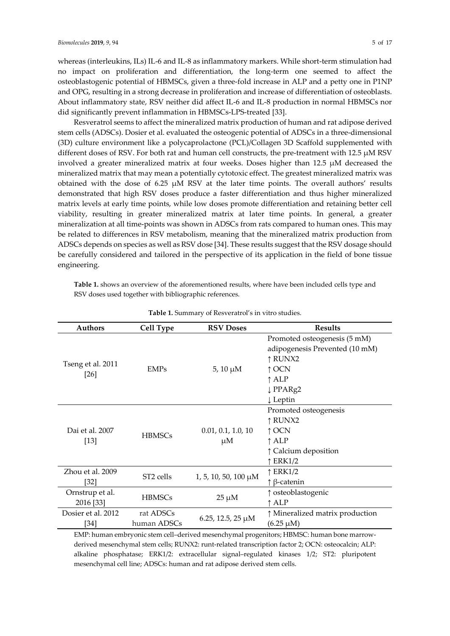whereas (interleukins, ILs) IL-6 and IL-8 as inflammatory markers. While short-term stimulation had no impact on proliferation and differentiation, the long-term one seemed to affect the osteoblastogenic potential of HBMSCs, given a three-fold increase in ALP and a petty one in P1NP and OPG, resulting in a strong decrease in proliferation and increase of differentiation of osteoblasts. About inflammatory state, RSV neither did affect IL-6 and IL-8 production in normal HBMSCs nor did significantly prevent inflammation in HBMSCs-LPS-treated [33].

Resveratrol seems to affect the mineralized matrix production of human and rat adipose derived stem cells (ADSCs). Dosier et al. evaluated the osteogenic potential of ADSCs in a three-dimensional (3D) culture environment like a polycaprolactone (PCL)/Collagen 3D Scaffold supplemented with different doses of RSV. For both rat and human cell constructs, the pre-treatment with 12.5 μM RSV involved a greater mineralized matrix at four weeks. Doses higher than 12.5 μM decreased the mineralized matrix that may mean a potentially cytotoxic effect. The greatest mineralized matrix was obtained with the dose of  $6.25 \mu M$  RSV at the later time points. The overall authors' results demonstrated that high RSV doses produce a faster differentiation and thus higher mineralized matrix levels at early time points, while low doses promote differentiation and retaining better cell viability, resulting in greater mineralized matrix at later time points. In general, a greater mineralization at all time-points was shown in ADSCs from rats compared to human ones. This may be related to differences in RSV metabolism, meaning that the mineralized matrix production from ADSCs depends on species as well as RSV dose [34]. These results suggest that the RSV dosage should be carefully considered and tailored in the perspective of its application in the field of bone tissue engineering.

**Table 1.** shows an overview of the aforementioned results, where have been included cells type and RSV doses used together with bibliographic references.

| <b>Authors</b>               | Cell Type                | <b>RSV Doses</b>              | <b>Results</b>                                                                                                                       |  |
|------------------------------|--------------------------|-------------------------------|--------------------------------------------------------------------------------------------------------------------------------------|--|
| Tseng et al. 2011<br>$[26]$  | <b>EMPs</b>              | 5, $10 \mu M$                 | Promoted osteogenesis (5 mM)<br>adipogenesis Prevented (10 mM)<br>$\uparrow$ RUNX2<br>$\uparrow$ OCN<br>$\uparrow$ ALP<br>↓PPARg2    |  |
| Dai et al. 2007<br>$[13]$    | <b>HBMSCs</b>            | 0.01, 0.1, 1.0, 10<br>$\mu$ M | $\downarrow$ Leptin<br>Promoted osteogenesis<br>↑ RUNX2<br>$\uparrow$ OCN<br>$\uparrow$ ALP<br>↑ Calcium deposition<br><b>ERK1/2</b> |  |
| Zhou et al. 2009<br>$[32]$   | ST <sub>2</sub> cells    | $1, 5, 10, 50, 100 \mu M$     | $\uparrow$ ERK1/2<br>↑β-catenin                                                                                                      |  |
| Ornstrup et al.<br>2016 [33] | <b>HBMSCs</b>            | $25 \mu M$                    | ↑ osteoblastogenic<br>$\uparrow$ ALP                                                                                                 |  |
| Dosier et al. 2012<br>[34]   | rat ADSCs<br>human ADSCs | 6.25, 12.5, 25 µM             | ↑ Mineralized matrix production<br>$(6.25 \mu M)$                                                                                    |  |
| F1.5.1                       |                          |                               |                                                                                                                                      |  |

**Table 1.** Summary of Resveratrol's in vitro studies.

EMP: human embryonic stem cell–derived mesenchymal progenitors; HBMSC: human bone marrowderived mesenchymal stem cells; RUNX2: runt-related transcription factor 2; OCN: osteocalcin; ALP: alkaline phosphatase; ERK1/2: extracellular signal–regulated kinases 1/2; ST2: pluripotent mesenchymal cell line; ADSCs: human and rat adipose derived stem cells.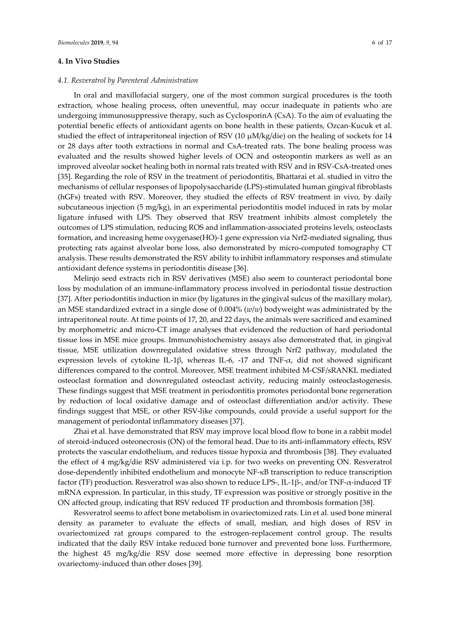### **4. In Vivo Studies**

#### *4.1. Resveratrol by Parenteral Administration*

In oral and maxillofacial surgery, one of the most common surgical procedures is the tooth extraction, whose healing process, often uneventful, may occur inadequate in patients who are undergoing immunosuppressive therapy, such as CyclosporinA (CsA). To the aim of evaluating the potential benefic effects of antioxidant agents on bone health in these patients, Ozcan-Kucuk et al. studied the effect of intraperitoneal injection of RSV (10 μM/kg/die) on the healing of sockets for 14 or 28 days after tooth extractions in normal and CsA-treated rats. The bone healing process was evaluated and the results showed higher levels of OCN and osteopontin markers as well as an improved alveolar socket healing both in normal rats treated with RSV and in RSV-CsA-treated ones [35]. Regarding the role of RSV in the treatment of periodontitis, Bhattarai et al. studied in vitro the mechanisms of cellular responses of lipopolysaccharide (LPS)-stimulated human gingival fibroblasts (hGFs) treated with RSV. Moreover, they studied the effects of RSV treatment in vivo, by daily subcutaneous injection (5 mg/kg), in an experimental periodontitis model induced in rats by molar ligature infused with LPS. They observed that RSV treatment inhibits almost completely the outcomes of LPS stimulation, reducing ROS and inflammation-associated proteins levels, osteoclasts formation, and increasing heme oxygenase(HO)-1 gene expression via Nrf2-mediated signaling, thus protecting rats against alveolar bone loss, also demonstrated by micro-computed tomography CT analysis. These results demonstrated the RSV ability to inhibit inflammatory responses and stimulate antioxidant defence systems in periodontitis disease [36].

Melinjo seed extracts rich in RSV derivatives (MSE) also seem to counteract periodontal bone loss by modulation of an immune-inflammatory process involved in periodontal tissue destruction [37]. After periodontitis induction in mice (by ligatures in the gingival sulcus of the maxillary molar), an MSE standardized extract in a single dose of 0.004% (*w*/*w*) bodyweight was administrated by the intraperitoneal route. At time points of 17, 20, and 22 days, the animals were sacrificed and examined by morphometric and micro-CT image analyses that evidenced the reduction of hard periodontal tissue loss in MSE mice groups. Immunohistochemistry assays also demonstrated that, in gingival tissue, MSE utilization downregulated oxidative stress through Nrf2 pathway, modulated the expression levels of cytokine IL-1β, whereas IL-6, -17 and TNF-α, did not showed significant differences compared to the control. Moreover, MSE treatment inhibited M-CSF/sRANKL mediated osteoclast formation and downregulated osteoclast activity, reducing mainly osteoclastogenesis. These findings suggest that MSE treatment in periodontitis promotes periodontal bone regeneration by reduction of local oxidative damage and of osteoclast differentiation and/or activity. These findings suggest that MSE, or other RSV-like compounds, could provide a useful support for the management of periodontal inflammatory diseases [37].

Zhai et al. have demonstrated that RSV may improve local blood flow to bone in a rabbit model of steroid-induced osteonecrosis (ON) of the femoral head. Due to its anti-inflammatory effects, RSV protects the vascular endothelium, and reduces tissue hypoxia and thrombosis [38]. They evaluated the effect of 4 mg/kg/die RSV administered via i.p. for two weeks on preventing ON. Resveratrol dose-dependently inhibited endothelium and monocyte NF-κB transcription to reduce transcription factor (TF) production. Resveratrol was also shown to reduce LPS-, IL-1β-, and/or TNF-α-induced TF mRNA expression. In particular, in this study, TF expression was positive or strongly positive in the ON affected group, indicating that RSV reduced TF production and thrombosis formation [38].

Resveratrol seems to affect bone metabolism in ovariectomized rats. Lin et al. used bone mineral density as parameter to evaluate the effects of small, median, and high doses of RSV in ovariectomized rat groups compared to the estrogen-replacement control group. The results indicated that the daily RSV intake reduced bone turnover and prevented bone loss. Furthermore, the highest 45 mg/kg/die RSV dose seemed more effective in depressing bone resorption ovariectomy-induced than other doses [39].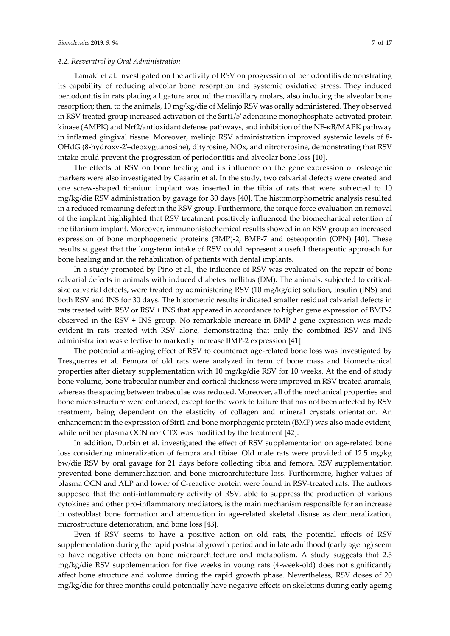# *4.2. Resveratrol by Oral Administration*

Tamaki et al. investigated on the activity of RSV on progression of periodontitis demonstrating its capability of reducing alveolar bone resorption and systemic oxidative stress. They induced periodontitis in rats placing a ligature around the maxillary molars, also inducing the alveolar bone resorption; then, to the animals, 10 mg/kg/die of Melinjo RSV was orally administered. They observed in RSV treated group increased activation of the Sirt1/5' adenosine monophosphate-activated protein kinase (AMPK) and Nrf2/antioxidant defense pathways, and inhibition of the NF-κB/MAPK pathway in inflamed gingival tissue. Moreover, melinjo RSV administration improved systemic levels of 8- OHdG (8-hydroxy-2'–deoxyguanosine), dityrosine, NOx, and nitrotyrosine, demonstrating that RSV intake could prevent the progression of periodontitis and alveolar bone loss [10].

The effects of RSV on bone healing and its influence on the gene expression of osteogenic markers were also investigated by Casarin et al. In the study, two calvarial defects were created and one screw-shaped titanium implant was inserted in the tibia of rats that were subjected to 10 mg/kg/die RSV administration by gavage for 30 days [40]. The histomorphometric analysis resulted in a reduced remaining defect in the RSV group. Furthermore, the torque force evaluation on removal of the implant highlighted that RSV treatment positively influenced the biomechanical retention of the titanium implant. Moreover, immunohistochemical results showed in an RSV group an increased expression of bone morphogenetic proteins (BMP)-2, BMP-7 and osteopontin (OPN) [40]. These results suggest that the long-term intake of RSV could represent a useful therapeutic approach for bone healing and in the rehabilitation of patients with dental implants.

In a study promoted by Pino et al., the influence of RSV was evaluated on the repair of bone calvarial defects in animals with induced diabetes mellitus (DM). The animals, subjected to criticalsize calvarial defects, were treated by administering RSV (10 mg/kg/die) solution, insulin (INS) and both RSV and INS for 30 days. The histometric results indicated smaller residual calvarial defects in rats treated with RSV or RSV + INS that appeared in accordance to higher gene expression of BMP-2 observed in the RSV + INS group. No remarkable increase in BMP-2 gene expression was made evident in rats treated with RSV alone, demonstrating that only the combined RSV and INS administration was effective to markedly increase BMP-2 expression [41].

The potential anti-aging effect of RSV to counteract age-related bone loss was investigated by Tresguerres et al. Femora of old rats were analyzed in term of bone mass and biomechanical properties after dietary supplementation with 10 mg/kg/die RSV for 10 weeks. At the end of study bone volume, bone trabecular number and cortical thickness were improved in RSV treated animals, whereas the spacing between trabeculae was reduced. Moreover, all of the mechanical properties and bone microstructure were enhanced, except for the work to failure that has not been affected by RSV treatment, being dependent on the elasticity of collagen and mineral crystals orientation. An enhancement in the expression of Sirt1 and bone morphogenic protein (BMP) was also made evident, while neither plasma OCN nor CTX was modified by the treatment [42].

In addition, Durbin et al. investigated the effect of RSV supplementation on age-related bone loss considering mineralization of femora and tibiae. Old male rats were provided of 12.5 mg/kg bw/die RSV by oral gavage for 21 days before collecting tibia and femora. RSV supplementation prevented bone demineralization and bone microarchitecture loss. Furthermore, higher values of plasma OCN and ALP and lower of C-reactive protein were found in RSV-treated rats. The authors supposed that the anti-inflammatory activity of RSV, able to suppress the production of various cytokines and other pro-inflammatory mediators, is the main mechanism responsible for an increase in osteoblast bone formation and attenuation in age-related skeletal disuse as demineralization, microstructure deterioration, and bone loss [43].

Even if RSV seems to have a positive action on old rats, the potential effects of RSV supplementation during the rapid postnatal growth period and in late adulthood (early ageing) seem to have negative effects on bone microarchitecture and metabolism. A study suggests that 2.5 mg/kg/die RSV supplementation for five weeks in young rats (4-week-old) does not significantly affect bone structure and volume during the rapid growth phase. Nevertheless, RSV doses of 20 mg/kg/die for three months could potentially have negative effects on skeletons during early ageing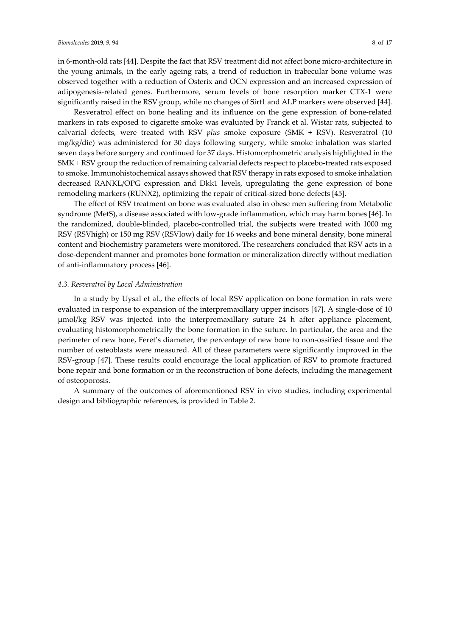in 6-month-old rats [44]. Despite the fact that RSV treatment did not affect bone micro-architecture in the young animals, in the early ageing rats, a trend of reduction in trabecular bone volume was observed together with a reduction of Osterix and OCN expression and an increased expression of adipogenesis-related genes. Furthermore, serum levels of bone resorption marker CTX-1 were significantly raised in the RSV group, while no changes of Sirt1 and ALP markers were observed [44].

Resveratrol effect on bone healing and its influence on the gene expression of bone-related markers in rats exposed to cigarette smoke was evaluated by Franck et al. Wistar rats, subjected to calvarial defects, were treated with RSV *plus* smoke exposure (SMK + RSV). Resveratrol (10 mg/kg/die) was administered for 30 days following surgery, while smoke inhalation was started seven days before surgery and continued for 37 days. Histomorphometric analysis highlighted in the SMK + RSV group the reduction of remaining calvarial defects respect to placebo-treated rats exposed to smoke. Immunohistochemical assays showed that RSV therapy in rats exposed to smoke inhalation decreased RANKL/OPG expression and Dkk1 levels, upregulating the gene expression of bone remodeling markers (RUNX2), optimizing the repair of critical-sized bone defects [45].

The effect of RSV treatment on bone was evaluated also in obese men suffering from Metabolic syndrome (MetS), a disease associated with low-grade inflammation, which may harm bones [46]. In the randomized, double-blinded, placebo-controlled trial, the subjects were treated with 1000 mg RSV (RSVhigh) or 150 mg RSV (RSVlow) daily for 16 weeks and bone mineral density, bone mineral content and biochemistry parameters were monitored. The researchers concluded that RSV acts in a dose-dependent manner and promotes bone formation or mineralization directly without mediation of anti-inflammatory process [46].

#### *4.3. Resveratrol by Local Administration*

In a study by Uysal et al., the effects of local RSV application on bone formation in rats were evaluated in response to expansion of the interpremaxillary upper incisors [47]. A single-dose of 10 μmol/kg RSV was injected into the interpremaxillary suture 24 h after appliance placement, evaluating histomorphometrically the bone formation in the suture. In particular, the area and the perimeter of new bone, Feret's diameter, the percentage of new bone to non-ossified tissue and the number of osteoblasts were measured. All of these parameters were significantly improved in the RSV-group [47]. These results could encourage the local application of RSV to promote fractured bone repair and bone formation or in the reconstruction of bone defects, including the management of osteoporosis.

A summary of the outcomes of aforementioned RSV in vivo studies, including experimental design and bibliographic references, is provided in Table 2.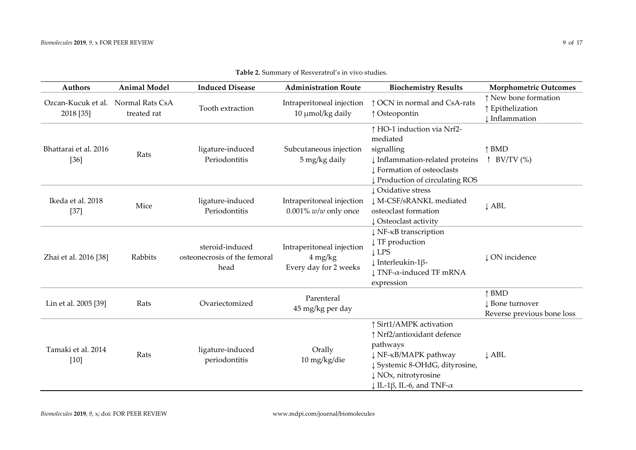| <b>Authors</b>                                  | <b>Animal Model</b> | <b>Induced Disease</b>                                  | <b>Administration Route</b>                                     | <b>Biochemistry Results</b>                                                                                                                                                                                             | <b>Morphometric Outcomes</b>                                    |
|-------------------------------------------------|---------------------|---------------------------------------------------------|-----------------------------------------------------------------|-------------------------------------------------------------------------------------------------------------------------------------------------------------------------------------------------------------------------|-----------------------------------------------------------------|
| Ozcan-Kucuk et al. Normal Rats CsA<br>2018 [35] | treated rat         | Tooth extraction                                        | Intraperitoneal injection<br>10 µmol/kg daily                   | ↑ OCN in normal and CsA-rats<br>↑ Osteopontin                                                                                                                                                                           | ↑ New bone formation<br>↑ Epithelization<br>↓ Inflammation      |
| Bhattarai et al. 2016<br>$[36]$                 | Rats                | ligature-induced<br>Periodontitis                       | Subcutaneous injection<br>5 mg/kg daily                         | ↑ HO-1 induction via Nrf2-<br>mediated<br>signalling<br>↓ Inflammation-related proteins<br><b>L</b> Formation of osteoclasts<br>↓ Production of circulating ROS                                                         | $\uparrow$ BMD<br>$\uparrow$ BV/TV $(\% )$                      |
| Ikeda et al. 2018<br>$[37]$                     | Mice                | ligature-induced<br>Periodontitis                       | Intraperitoneal injection<br>0.001% $w/w$ only once             | ↓ Oxidative stress<br>↓ M-CSF/sRANKL mediated<br>osteoclast formation<br>↓ Osteoclast activity                                                                                                                          | $\downarrow$ ABL                                                |
| Zhai et al. 2016 [38]                           | Rabbits             | steroid-induced<br>osteonecrosis of the femoral<br>head | Intraperitoneal injection<br>$4$ mg/kg<br>Every day for 2 weeks | $\downarrow$ NF- $\kappa$ B transcription<br>$\downarrow$ TF production<br>$\downarrow$ LPS<br>↓ Interleukin-1β-<br>↓ TNF-α-induced TF mRNA<br>expression                                                               | ↓ ON incidence                                                  |
| Lin et al. 2005 [39]                            | Rats                | Ovariectomized                                          | Parenteral<br>45 mg/kg per day                                  |                                                                                                                                                                                                                         | $\uparrow$ BMD<br>↓ Bone turnover<br>Reverse previous bone loss |
| Tamaki et al. 2014<br>$[10]$                    | Rats                | ligature-induced<br>periodontitis                       | Orally<br>10 mg/kg/die                                          | ↑ Sirt1/AMPK activation<br>↑ Nrf2/antioxidant defence<br>pathways<br>↓ NF-KB/MAPK pathway<br>↓ Systemic 8-OHdG, dityrosine,<br>↓ NO <sub>x</sub> , nitrotyrosine<br>$\downarrow$ IL-1 $\beta$ , IL-6, and TNF- $\alpha$ | $\downarrow$ ABL                                                |

| Table 2. Summary of Resveratrol's in vivo studies. |
|----------------------------------------------------|
|----------------------------------------------------|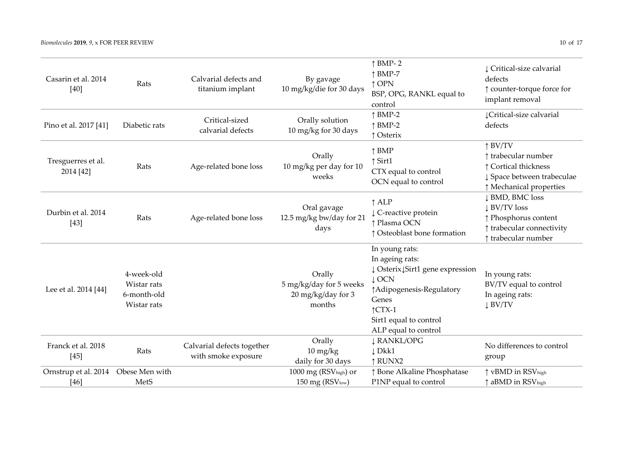| Casarin et al. 2014<br>$[40]$   | Rats                                                    | Calvarial defects and<br>titanium implant         | By gavage<br>10 mg/kg/die for 30 days                             | $\uparrow$ BMP-2<br>$\uparrow$ BMP-7<br>$\uparrow$ OPN<br>BSP, OPG, RANKL equal to<br>control                                                                                                   | ↓ Critical-size calvarial<br>defects<br>↑ counter-torque force for<br>implant removal                                    |
|---------------------------------|---------------------------------------------------------|---------------------------------------------------|-------------------------------------------------------------------|-------------------------------------------------------------------------------------------------------------------------------------------------------------------------------------------------|--------------------------------------------------------------------------------------------------------------------------|
| Pino et al. 2017 [41]           | Diabetic rats                                           | Critical-sized<br>calvarial defects               | Orally solution<br>10 mg/kg for 30 days                           | $\uparrow$ BMP-2<br>$\uparrow$ BMP-2<br>↑ Osterix                                                                                                                                               | ↓ Critical-size calvarial<br>defects                                                                                     |
| Tresguerres et al.<br>2014 [42] | Rats                                                    | Age-related bone loss                             | Orally<br>10 mg/kg per day for 10<br>weeks                        | $\uparrow$ BMP<br>↑ Sirt1<br>CTX equal to control<br>OCN equal to control                                                                                                                       | $\uparrow$ BV/TV<br>↑ trabecular number<br>↑ Cortical thickness<br>↓ Space between trabeculae<br>↑ Mechanical properties |
| Durbin et al. 2014<br>$[43]$    | Rats                                                    | Age-related bone loss                             | Oral gavage<br>12.5 mg/kg bw/day for 21<br>days                   | $\uparrow$ ALP<br>↓ C-reactive protein<br>↑ Plasma OCN<br>↑ Osteoblast bone formation                                                                                                           | ↓ BMD, BMC loss<br>I BV/TV loss<br>↑ Phosphorus content<br>↑ trabecular connectivity<br>↑ trabecular number              |
| Lee et al. 2014 [44]            | 4-week-old<br>Wistar rats<br>6-month-old<br>Wistar rats |                                                   | Orally<br>5 mg/kg/day for 5 weeks<br>20 mg/kg/day for 3<br>months | In young rats:<br>In ageing rats:<br>↓ Osterix↓Sirt1 gene expression<br><b>LOCN</b><br>↑ Adipogenesis-Regulatory<br>Genes<br>$\uparrow$ CTX-1<br>Sirt1 equal to control<br>ALP equal to control | In young rats:<br>BV/TV equal to control<br>In ageing rats:<br>$\downarrow$ BV/TV                                        |
| Franck et al. 2018<br>$[45]$    | Rats                                                    | Calvarial defects together<br>with smoke exposure | Orally<br>$10 \frac{\text{mg}}{\text{kg}}$<br>daily for 30 days   | <b>L RANKL/OPG</b><br>$\downarrow$ Dkk1<br>↑ RUNX2                                                                                                                                              | No differences to control<br>group                                                                                       |
| Ornstrup et al. 2014<br>[46]    | Obese Men with<br>MetS                                  |                                                   | 1000 mg (RSV <sub>high</sub> ) or<br>150 mg (RSVlow)              | ↑ Bone Alkaline Phosphatase<br>P1NP equal to control                                                                                                                                            | ↑ vBMD in RSV <sub>high</sub><br>aBMD in RSV <sub>high</sub>                                                             |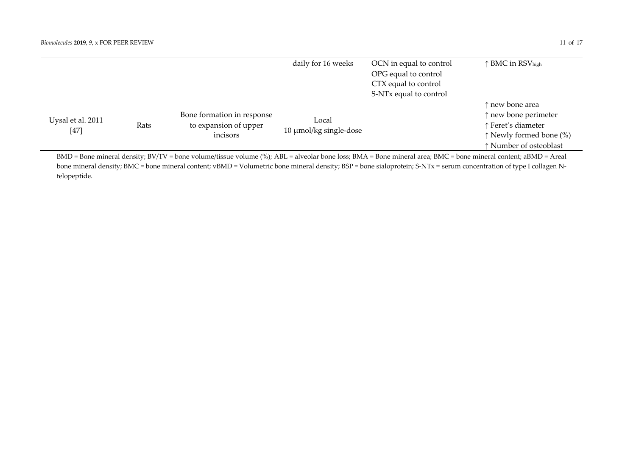|                             |      |                                                                 | daily for 16 weeks              | OCN in equal to control<br>OPG equal to control<br>CTX equal to control<br>S-NT <sub>x</sub> equal to control | ↑ BMC in RSV <sub>high</sub>                                                                                                |
|-----------------------------|------|-----------------------------------------------------------------|---------------------------------|---------------------------------------------------------------------------------------------------------------|-----------------------------------------------------------------------------------------------------------------------------|
| Uysal et al. 2011<br>$[47]$ | Rats | Bone formation in response<br>to expansion of upper<br>incisors | Local<br>10 µmol/kg single-dose |                                                                                                               | ↑ new bone area<br>$\uparrow$ new bone perimeter<br>↑ Feret's diameter<br>↑ Newly formed bone (%)<br>↑ Number of osteoblast |

BMD = Bone mineral density; BV/TV = bone volume/tissue volume (%); ABL = alveolar bone loss; BMA = Bone mineral area; BMC = bone mineral content; aBMD = Areal bone mineral density; BMC = bone mineral content; vBMD = Volumetric bone mineral density; BSP = bone sialoprotein; S-NTx = serum concentration of type I collagen Ntelopeptide.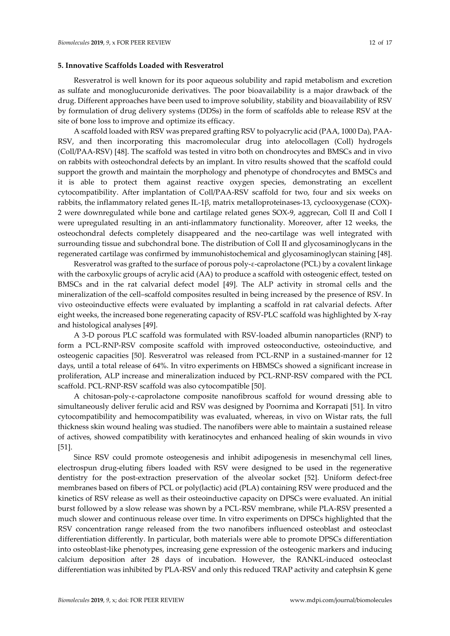### **5. Innovative Scaffolds Loaded with Resveratrol**

Resveratrol is well known for its poor aqueous solubility and rapid metabolism and excretion as sulfate and monoglucuronide derivatives. The poor bioavailability is a major drawback of the drug. Different approaches have been used to improve solubility, stability and bioavailability of RSV by formulation of drug delivery systems (DDSs) in the form of scaffolds able to release RSV at the site of bone loss to improve and optimize its efficacy.

A scaffold loaded with RSV was prepared grafting RSV to polyacrylic acid (PAA, 1000 Da), PAA-RSV, and then incorporating this macromolecular drug into atelocollagen (Coll) hydrogels (Coll/PAA-RSV) [48]. The scaffold was tested in vitro both on chondrocytes and BMSCs and in vivo on rabbits with osteochondral defects by an implant. In vitro results showed that the scaffold could support the growth and maintain the morphology and phenotype of chondrocytes and BMSCs and it is able to protect them against reactive oxygen species, demonstrating an excellent cytocompatibility. After implantation of Coll/PAA-RSV scaffold for two, four and six weeks on rabbits, the inflammatory related genes IL-1β, matrix metalloproteinases-13, cyclooxygenase (COX)- 2 were downregulated while bone and cartilage related genes SOX-9, aggrecan, Coll II and Coll I were upregulated resulting in an anti-inflammatory functionality. Moreover, after 12 weeks, the osteochondral defects completely disappeared and the neo-cartilage was well integrated with surrounding tissue and subchondral bone. The distribution of Coll II and glycosaminoglycans in the regenerated cartilage was confirmed by immunohistochemical and glycosaminoglycan staining [48].

Resveratrol was grafted to the surface of porous poly-ε-caprolactone (PCL) by a covalent linkage with the carboxylic groups of acrylic acid (AA) to produce a scaffold with osteogenic effect, tested on BMSCs and in the rat calvarial defect model [49]. The ALP activity in stromal cells and the mineralization of the cell–scaffold composites resulted in being increased by the presence of RSV. In vivo osteoinductive effects were evaluated by implanting a scaffold in rat calvarial defects. After eight weeks, the increased bone regenerating capacity of RSV-PLC scaffold was highlighted by X-ray and histological analyses [49].

A 3-D porous PLC scaffold was formulated with RSV-loaded albumin nanoparticles (RNP) to form a PCL-RNP-RSV composite scaffold with improved osteoconductive, osteoinductive, and osteogenic capacities [50]. Resveratrol was released from PCL-RNP in a sustained-manner for 12 days, until a total release of 64%. In vitro experiments on HBMSCs showed a significant increase in proliferation, ALP increase and mineralization induced by PCL-RNP-RSV compared with the PCL scaffold. PCL-RNP-RSV scaffold was also cytocompatible [50].

A chitosan-poly-ε-caprolactone composite nanofibrous scaffold for wound dressing able to simultaneously deliver ferulic acid and RSV was designed by Poornima and Korrapati [51]. In vitro cytocompatibility and hemocompatibility was evaluated, whereas, in vivo on Wistar rats, the full thickness skin wound healing was studied. The nanofibers were able to maintain a sustained release of actives, showed compatibility with keratinocytes and enhanced healing of skin wounds in vivo [51].

Since RSV could promote osteogenesis and inhibit adipogenesis in mesenchymal cell lines, electrospun drug-eluting fibers loaded with RSV were designed to be used in the regenerative dentistry for the post-extraction preservation of the alveolar socket [52]. Uniform defect-free membranes based on fibers of PCL or poly(lactic) acid (PLA) containing RSV were produced and the kinetics of RSV release as well as their osteoinductive capacity on DPSCs were evaluated. An initial burst followed by a slow release was shown by a PCL-RSV membrane, while PLA-RSV presented a much slower and continuous release over time. In vitro experiments on DPSCs highlighted that the RSV concentration range released from the two nanofibers influenced osteoblast and osteoclast differentiation differently. In particular, both materials were able to promote DPSCs differentiation into osteoblast-like phenotypes, increasing gene expression of the osteogenic markers and inducing calcium deposition after 28 days of incubation. However, the RANKL-induced osteoclast differentiation was inhibited by PLA-RSV and only this reduced TRAP activity and catephsin K gene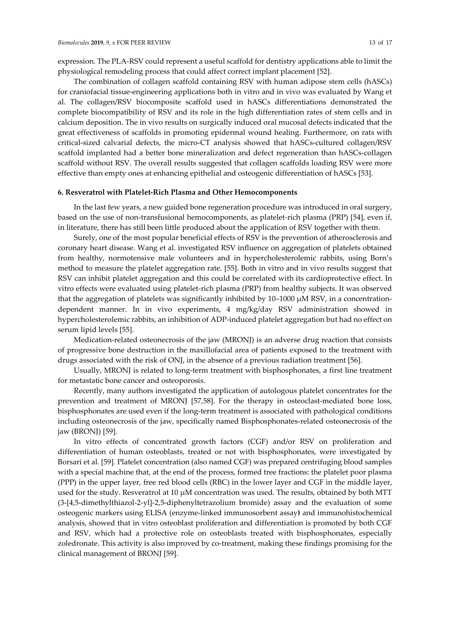expression. The PLA-RSV could represent a useful scaffold for dentistry applications able to limit the physiological remodeling process that could affect correct implant placement [52].

The combination of collagen scaffold containing RSV with human adipose stem cells (hASCs) for craniofacial tissue-engineering applications both in vitro and in vivo was evaluated by Wang et al. The collagen/RSV biocomposite scaffold used in hASCs differentiations demonstrated the complete biocompatibility of RSV and its role in the high differentiation rates of stem cells and in calcium deposition. The in vivo results on surgically induced oral mucosal defects indicated that the great effectiveness of scaffolds in promoting epidermal wound healing. Furthermore, on rats with critical-sized calvarial defects, the micro-CT analysis showed that hASCs-cultured collagen/RSV scaffold implanted had a better bone mineralization and defect regeneration than hASCs-collagen scaffold without RSV. The overall results suggested that collagen scaffolds loading RSV were more effective than empty ones at enhancing epithelial and osteogenic differentiation of hASCs [53].

### **6. Resveratrol with Platelet-Rich Plasma and Other Hemocomponents**

In the last few years, a new guided bone regeneration procedure was introduced in oral surgery, based on the use of non-transfusional hemocomponents, as platelet-rich plasma (PRP) [54], even if, in literature, there has still been little produced about the application of RSV together with them.

Surely, one of the most popular beneficial effects of RSV is the prevention of atherosclerosis and coronary heart disease. Wang et al. investigated RSV influence on aggregation of platelets obtained from healthy, normotensive male volunteers and in hypercholesterolemic rabbits, using Born's method to measure the platelet aggregation rate. [55]. Both in vitro and in vivo results suggest that RSV can inhibit platelet aggregation and this could be correlated with its cardioprotective effect. In vitro effects were evaluated using platelet-rich plasma (PRP) from healthy subjects. It was observed that the aggregation of platelets was significantly inhibited by 10–1000 μM RSV, in a concentrationdependent manner. In in vivo experiments, 4 mg/kg/day RSV administration showed in hypercholesterolemic rabbits, an inhibition of ADP-induced platelet aggregation but had no effect on serum lipid levels [55].

Medication-related osteonecrosis of the jaw (MRONJ) is an adverse drug reaction that consists of progressive bone destruction in the maxillofacial area of patients exposed to the treatment with drugs associated with the risk of ONJ, in the absence of a previous radiation treatment [56].

Usually, MRONJ is related to long-term treatment with bisphosphonates, a first line treatment for metastatic bone cancer and osteoporosis.

Recently, many authors investigated the application of autologous platelet concentrates for the prevention and treatment of MRONJ [57,58]. For the therapy in osteoclast-mediated bone loss, bisphosphonates are used even if the long-term treatment is associated with pathological conditions including osteonecrosis of the jaw, specifically named Bisphosphonates-related osteonecrosis of the jaw (BRONJ) [59].

In vitro effects of concentrated growth factors (CGF) and/or RSV on proliferation and differentiation of human osteoblasts, treated or not with bisphosphonates, were investigated by Borsari et al. [59]*.* Platelet concentration (also named CGF) was prepared centrifuging blood samples with a special machine that, at the end of the process, formed tree fractions: the platelet poor plasma (PPP) in the upper layer, free red blood cells (RBC) in the lower layer and CGF in the middle layer, used for the study. Resveratrol at 10 μM concentration was used. The results, obtained by both MTT (3-[4,5-dimethylthiazol-2-yl]-2,5-diphenyltetrazolium bromide) assay and the evaluation of some osteogenic markers using ELISA (enzyme-linked immunosorbent assay**)** and immunohistochemical analysis, showed that in vitro osteoblast proliferation and differentiation is promoted by both CGF and RSV, which had a protective role on osteoblasts treated with bisphosphonates, especially zoledronate. This activity is also improved by co-treatment, making these findings promising for the clinical management of BRONJ [59].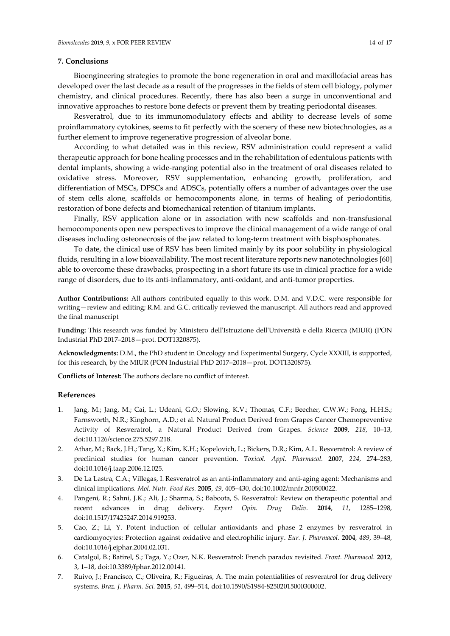# **7. Conclusions**

Bioengineering strategies to promote the bone regeneration in oral and maxillofacial areas has developed over the last decade as a result of the progresses in the fields of stem cell biology, polymer chemistry, and clinical procedures. Recently, there has also been a surge in unconventional and innovative approaches to restore bone defects or prevent them by treating periodontal diseases.

Resveratrol, due to its immunomodulatory effects and ability to decrease levels of some proinflammatory cytokines, seems to fit perfectly with the scenery of these new biotechnologies, as a further element to improve regenerative progression of alveolar bone.

According to what detailed was in this review, RSV administration could represent a valid therapeutic approach for bone healing processes and in the rehabilitation of edentulous patients with dental implants, showing a wide-ranging potential also in the treatment of oral diseases related to oxidative stress. Moreover, RSV supplementation, enhancing growth, proliferation, and differentiation of MSCs, DPSCs and ADSCs, potentially offers a number of advantages over the use of stem cells alone, scaffolds or hemocomponents alone, in terms of healing of periodontitis, restoration of bone defects and biomechanical retention of titanium implants.

Finally, RSV application alone or in association with new scaffolds and non-transfusional hemocomponents open new perspectives to improve the clinical management of a wide range of oral diseases including osteonecrosis of the jaw related to long-term treatment with bisphosphonates.

To date, the clinical use of RSV has been limited mainly by its poor solubility in physiological fluids, resulting in a low bioavailability. The most recent literature reports new nanotechnologies [60] able to overcome these drawbacks, prospecting in a short future its use in clinical practice for a wide range of disorders, due to its anti-inflammatory, anti-oxidant, and anti-tumor properties.

**Author Contributions:** All authors contributed equally to this work. D.M. and V.D.C. were responsible for writing—review and editing; R.M. and G.C. critically reviewed the manuscript. All authors read and approved the final manuscript

**Funding:** This research was funded by Ministero dell'Istruzione dell'Università e della Ricerca (MIUR) (PON Industrial PhD 2017–2018—prot. DOT1320875).

**Acknowledgments:** D.M., the PhD student in Oncology and Experimental Surgery, Cycle XXXIII, is supported, for this research, by the MIUR (PON Industrial PhD 2017–2018—prot. DOT1320875).

**Conflicts of Interest:** The authors declare no conflict of interest.

# **References**

- 1. Jang, M.; Jang, M.; Cai, L.; Udeani, G.O.; Slowing, K.V.; Thomas, C.F.; Beecher, C.W.W.; Fong, H.H.S.; Farnsworth, N.R.; Kinghorn, A.D.; et al. Natural Product Derived from Grapes Cancer Chemopreventive Activity of Resveratrol, a Natural Product Derived from Grapes. *Science* **2009**, *218*, 10–13, doi:10.1126/science.275.5297.218.
- 2. Athar, M.; Back, J.H.; Tang, X.; Kim, K.H.; Kopelovich, L.; Bickers, D.R.; Kim, A.L. Resveratrol: A review of preclinical studies for human cancer prevention. *Toxicol. Appl. Pharmacol.* **2007**, *224*, 274–283, doi:10.1016/j.taap.2006.12.025.
- 3. De La Lastra, C.A.; Villegas, I. Resveratrol as an anti-inflammatory and anti-aging agent: Mechanisms and clinical implications. *Mol. Nutr. Food Res.* **2005**, *49*, 405–430, doi:10.1002/mnfr.200500022.
- 4. Pangeni, R.; Sahni, J.K.; Ali, J.; Sharma, S.; Baboota, S. Resveratrol: Review on therapeutic potential and recent advances in drug delivery. *Expert Opin. Drug Deliv.* **2014**, *11*, 1285–1298, doi:10.1517/17425247.2014.919253.
- 5. Cao, Z.; Li, Y. Potent induction of cellular antioxidants and phase 2 enzymes by resveratrol in cardiomyocytes: Protection against oxidative and electrophilic injury. *Eur. J. Pharmacol.* **2004**, *489*, 39–48, doi:10.1016/j.ejphar.2004.02.031.
- 6. Catalgol, B.; Batirel, S.; Taga, Y.; Ozer, N.K. Resveratrol: French paradox revisited. *Front. Pharmacol.* **2012**, *3*, 1–18, doi:10.3389/fphar.2012.00141.
- 7. Ruivo, J.; Francisco, C.; Oliveira, R.; Figueiras, A. The main potentialities of resveratrol for drug delivery systems. *Braz. J. Pharm. Sci.* **2015**, *51*, 499–514, doi:10.1590/S1984-82502015000300002.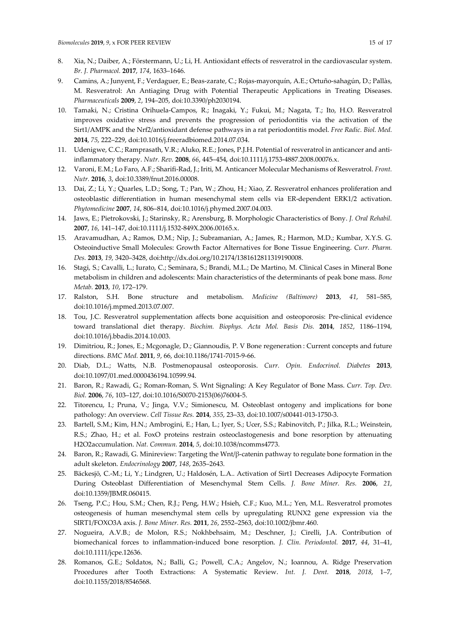- 8. Xia, N.; Daiber, A.; Förstermann, U.; Li, H. Antioxidant effects of resveratrol in the cardiovascular system. *Br. J. Pharmacol.* **2017**, *174*, 1633–1646.
- 9. Camins, A.; Junyent, F.; Verdaguer, E.; Beas-zarate, C.; Rojas-mayorquín, A.E.; Ortuño-sahagún, D.; Pallàs, M. Resveratrol: An Antiaging Drug with Potential Therapeutic Applications in Treating Diseases. *Pharmaceuticals* **2009**, *2*, 194–205, doi:10.3390/ph2030194.
- 10. Tamaki, N.; Cristina Orihuela-Campos, R.; Inagaki, Y.; Fukui, M.; Nagata, T.; Ito, H.O. Resveratrol improves oxidative stress and prevents the progression of periodontitis via the activation of the Sirt1/AMPK and the Nrf2/antioxidant defense pathways in a rat periodontitis model. *Free Radic. Biol. Med.* **2014**, *75*, 222–229, doi:10.1016/j.freeradbiomed.2014.07.034.
- 11. Udenigwe, C.C.; Ramprasath, V.R.; Aluko, R.E.; Jones, P.J.H. Potential of resveratrol in anticancer and antiinflammatory therapy. *Nutr. Rev.* **2008**, *66*, 445–454, doi:10.1111/j.1753-4887.2008.00076.x.
- 12. Varoni, E.M.; Lo Faro, A.F.; Sharifi-Rad, J.; Iriti, M. Anticancer Molecular Mechanisms of Resveratrol. *Front. Nutr.* **2016**, *3*, doi:10.3389/fnut.2016.00008.
- 13. Dai, Z.; Li, Y.; Quarles, L.D.; Song, T.; Pan, W.; Zhou, H.; Xiao, Z. Resveratrol enhances proliferation and osteoblastic differentiation in human mesenchymal stem cells via ER-dependent ERK1/2 activation. *Phytomedicine* **2007**, *14*, 806–814, doi:10.1016/j.phymed.2007.04.003.
- 14. Jaws, E.; Pietrokovski, J.; Starinsky, R.; Arensburg, B. Morphologic Characteristics of Bony. *J. Oral Rehabil.* **2007**, *16*, 141–147, doi:10.1111/j.1532-849X.2006.00165.x.
- 15. Aravamudhan, A.; Ramos, D.M.; Nip, J.; Subramanian, A.; James, R.; Harmon, M.D.; Kumbar, X.Y.S. G. Osteoinductive Small Molecules: Growth Factor Alternatives for Bone Tissue Engineering. *Curr. Pharm. Des.* **2013**, *19*, 3420–3428, doi:http://dx.doi.org/10.2174/1381612811319190008.
- 16. Stagi, S.; Cavalli, L.; Iurato, C.; Seminara, S.; Brandi, M.L.; De Martino, M. Clinical Cases in Mineral Bone metabolism in children and adolescents: Main characteristics of the determinants of peak bone mass. *Bone Metab.* **2013**, *10*, 172–179.
- 17. Ralston, S.H. Bone structure and metabolism. *Medicine (Baltimore)* **2013**, *41*, 581–585, doi:10.1016/j.mpmed.2013.07.007.
- 18. Tou, J.C. Resveratrol supplementation affects bone acquisition and osteoporosis: Pre-clinical evidence toward translational diet therapy. *Biochim. Biophys. Acta Mol. Basis Dis.* **2014**, *1852*, 1186–1194, doi:10.1016/j.bbadis.2014.10.003.
- 19. Dimitriou, R.; Jones, E.; Mcgonagle, D.; Giannoudis, P. V Bone regeneration : Current concepts and future directions. *BMC Med.* **2011**, *9*, 66, doi:10.1186/1741-7015-9-66.
- 20. Diab, D.L.; Watts, N.B. Postmenopausal osteoporosis. *Curr. Opin. Endocrinol. Diabetes* **2013**, doi:10.1097/01.med.0000436194.10599.94.
- 21. Baron, R.; Rawadi, G.; Roman-Roman, S. Wnt Signaling: A Key Regulator of Bone Mass. *Curr. Top. Dev. Biol.* **2006**, *76*, 103–127, doi:10.1016/S0070-2153(06)76004-5.
- 22. Titorencu, I.; Pruna, V.; Jinga, V.V.; Simionescu, M. Osteoblast ontogeny and implications for bone pathology: An overview. *Cell Tissue Res.* **2014**, *355*, 23–33, doi:10.1007/s00441-013-1750-3.
- 23. Bartell, S.M.; Kim, H.N.; Ambrogini, E.; Han, L.; Iyer, S.; Ucer, S.S.; Rabinovitch, P.; Jilka, R.L.; Weinstein, R.S.; Zhao, H.; et al. FoxO proteins restrain osteoclastogenesis and bone resorption by attenuating H2O2accumulation. *Nat. Commun.* **2014**, *5*, doi:10.1038/ncomms4773.
- 24. Baron, R.; Rawadi, G. Minireview: Targeting the Wnt/β-catenin pathway to regulate bone formation in the adult skeleton. *Endocrinology* **2007**, *148*, 2635–2643.
- 25. Bäckesjö, C.-M.; Li, Y.; Lindgren, U.; Haldosén, L.A.. Activation of Sirt1 Decreases Adipocyte Formation During Osteoblast Differentiation of Mesenchymal Stem Cells. *J. Bone Miner. Res.* **2006**, *21*, doi:10.1359/JBMR.060415.
- 26. Tseng, P.C.; Hou, S.M.; Chen, R.J.; Peng, H.W.; Hsieh, C.F.; Kuo, M.L.; Yen, M.L. Resveratrol promotes osteogenesis of human mesenchymal stem cells by upregulating RUNX2 gene expression via the SIRT1/FOXO3A axis. *J. Bone Miner. Res.* **2011**, *26*, 2552–2563, doi:10.1002/jbmr.460.
- 27. Nogueira, A.V.B.; de Molon, R.S.; Nokhbehsaim, M.; Deschner, J.; Cirelli, J.A. Contribution of biomechanical forces to inflammation-induced bone resorption. *J. Clin. Periodontol.* **2017**, *44*, 31–41, doi:10.1111/jcpe.12636.
- 28. Romanos, G.E.; Soldatos, N.; Balli, G.; Powell, C.A.; Angelov, N.; Ioannou, A. Ridge Preservation Procedures after Tooth Extractions: A Systematic Review. *Int. J. Dent.* **2018**, *2018*, 1–7, doi:10.1155/2018/8546568.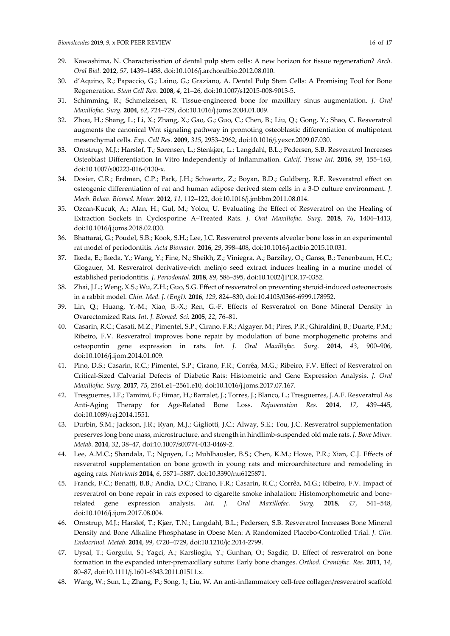- 29. Kawashima, N. Characterisation of dental pulp stem cells: A new horizon for tissue regeneration? *Arch. Oral Biol.* **2012**, *57*, 1439–1458, doi:10.1016/j.archoralbio.2012.08.010.
- 30. d'Aquino, R.; Papaccio, G.; Laino, G.; Graziano, A. Dental Pulp Stem Cells: A Promising Tool for Bone Regeneration. *Stem Cell Rev.* **2008**, *4*, 21–26, doi:10.1007/s12015-008-9013-5.
- 31. Schimming, R.; Schmelzeisen, R. Tissue-engineered bone for maxillary sinus augmentation. *J. Oral Maxillofac. Surg.* **2004**, *62*, 724–729, doi:10.1016/j.joms.2004.01.009.
- 32. Zhou, H.; Shang, L.; Li, X.; Zhang, X.; Gao, G.; Guo, C.; Chen, B.; Liu, Q.; Gong, Y.; Shao, C. Resveratrol augments the canonical Wnt signaling pathway in promoting osteoblastic differentiation of multipotent mesenchymal cells. *Exp. Cell Res.* **2009**, *315*, 2953–2962, doi:10.1016/j.yexcr.2009.07.030.
- 33. Ornstrup, M.J.; Harsløf, T.; Sørensen, L.; Stenkjær, L.; Langdahl, B.L.; Pedersen, S.B. Resveratrol Increases Osteoblast Differentiation In Vitro Independently of Inflammation. *Calcif. Tissue Int.* **2016**, *99*, 155–163, doi:10.1007/s00223-016-0130-x.
- 34. Dosier, C.R.; Erdman, C.P.; Park, J.H.; Schwartz, Z.; Boyan, B.D.; Guldberg, R.E. Resveratrol effect on osteogenic differentiation of rat and human adipose derived stem cells in a 3-D culture environment. *J. Mech. Behav. Biomed. Mater.* **2012**, *11*, 112–122, doi:10.1016/j.jmbbm.2011.08.014.
- 35. Ozcan-Kucuk, A.; Alan, H.; Gul, M.; Yolcu, U. Evaluating the Effect of Resveratrol on the Healing of Extraction Sockets in Cyclosporine A–Treated Rats. *J. Oral Maxillofac. Surg.* **2018**, *76*, 1404–1413, doi:10.1016/j.joms.2018.02.030.
- 36. Bhattarai, G.; Poudel, S.B.; Kook, S.H.; Lee, J.C. Resveratrol prevents alveolar bone loss in an experimental rat model of periodontitis. *Acta Biomater.* **2016**, *29*, 398–408, doi:10.1016/j.actbio.2015.10.031.
- 37. Ikeda, E.; Ikeda, Y.; Wang, Y.; Fine, N.; Sheikh, Z.; Viniegra, A.; Barzilay, O.; Ganss, B.; Tenenbaum, H.C.; Glogauer, M. Resveratrol derivative-rich melinjo seed extract induces healing in a murine model of established periodontitis. *J. Periodontol.* **2018**, *89*, 586–595, doi:10.1002/JPER.17-0352.
- 38. Zhai, J.L.; Weng, X.S.; Wu, Z.H.; Guo, S.G. Effect of resveratrol on preventing steroid-induced osteonecrosis in a rabbit model. *Chin. Med. J. (Engl).* **2016**, *129*, 824–830, doi:10.4103/0366-6999.178952.
- 39. Lin, Q.; Huang, Y.-M.; Xiao, B.-X.; Ren, G.-F. Effects of Resveratrol on Bone Mineral Density in Ovarectomized Rats. *Int. J. Biomed. Sci.* **2005**, *22*, 76–81.
- 40. Casarin, R.C.; Casati, M.Z.; Pimentel, S.P.; Cirano, F.R.; Algayer, M.; Pires, P.R.; Ghiraldini, B.; Duarte, P.M.; Ribeiro, F.V. Resveratrol improves bone repair by modulation of bone morphogenetic proteins and osteopontin gene expression in rats. *Int. J. Oral Maxillofac. Surg.* **2014**, *43*, 900–906, doi:10.1016/j.ijom.2014.01.009.
- 41. Pino, D.S.; Casarin, R.C.; Pimentel, S.P.; Cirano, F.R.; Corrêa, M.G.; Ribeiro, F.V. Effect of Resveratrol on Critical-Sized Calvarial Defects of Diabetic Rats: Histometric and Gene Expression Analysis. *J. Oral Maxillofac. Surg.* **2017**, *75*, 2561.e1–2561.e10, doi:10.1016/j.joms.2017.07.167.
- 42. Tresguerres, I.F.; Tamimi, F.; Eimar, H.; Barralet, J.; Torres, J.; Blanco, L.; Tresguerres, J.A.F. Resveratrol As Anti-Aging Therapy for Age-Related Bone Loss. *Rejuvenation Res.* **2014**, *17*, 439–445, doi:10.1089/rej.2014.1551.
- 43. Durbin, S.M.; Jackson, J.R.; Ryan, M.J.; Gigliotti, J.C.; Alway, S.E.; Tou, J.C. Resveratrol supplementation preserves long bone mass, microstructure, and strength in hindlimb-suspended old male rats. *J. Bone Miner. Metab.* **2014**, *32*, 38–47, doi:10.1007/s00774-013-0469-2.
- 44. Lee, A.M.C.; Shandala, T.; Nguyen, L.; Muhlhausler, B.S.; Chen, K.M.; Howe, P.R.; Xian, C.J. Effects of resveratrol supplementation on bone growth in young rats and microarchitecture and remodeling in ageing rats. *Nutrients* **2014**, *6*, 5871–5887, doi:10.3390/nu6125871.
- 45. Franck, F.C.; Benatti, B.B.; Andia, D.C.; Cirano, F.R.; Casarin, R.C.; Corrêa, M.G.; Ribeiro, F.V. Impact of resveratrol on bone repair in rats exposed to cigarette smoke inhalation: Histomorphometric and bonerelated gene expression analysis. *Int. J. Oral Maxillofac. Surg.* **2018**, *47*, 541–548, doi:10.1016/j.ijom.2017.08.004.
- 46. Ornstrup, M.J.; Harsløf, T.; Kjær, T.N.; Langdahl, B.L.; Pedersen, S.B. Resveratrol Increases Bone Mineral Density and Bone Alkaline Phosphatase in Obese Men: A Randomized Placebo-Controlled Trial. *J. Clin. Endocrinol. Metab.* **2014**, *99*, 4720–4729, doi:10.1210/jc.2014-2799.
- 47. Uysal, T.; Gorgulu, S.; Yagci, A.; Karslioglu, Y.; Gunhan, O.; Sagdic, D. Effect of resveratrol on bone formation in the expanded inter-premaxillary suture: Early bone changes. *Orthod. Craniofac. Res.* **2011**, *14*, 80–87, doi:10.1111/j.1601-6343.2011.01511.x.
- 48. Wang, W.; Sun, L.; Zhang, P.; Song, J.; Liu, W. An anti-inflammatory cell-free collagen/resveratrol scaffold